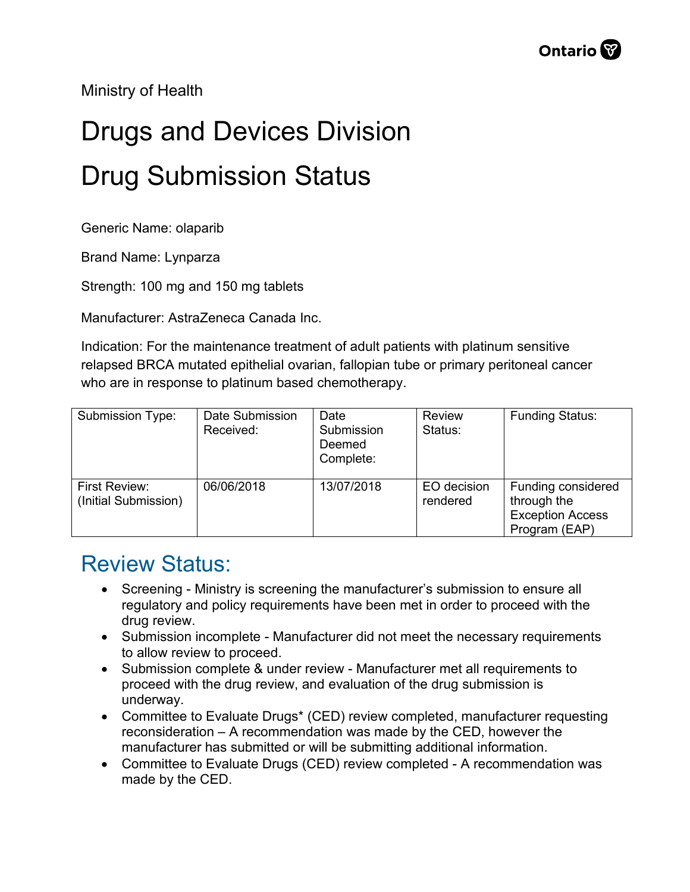Ministry of Health

## Drugs and Devices Division Drug Submission Status

Generic Name: olaparib

Brand Name: Lynparza

Strength: 100 mg and 150 mg tablets

Manufacturer: AstraZeneca Canada Inc.

Indication: For the maintenance treatment of adult patients with platinum sensitive relapsed BRCA mutated epithelial ovarian, fallopian tube or primary peritoneal cancer who are in response to platinum based chemotherapy.

| Submission Type:                      | Date Submission<br>Received: | Date<br>Submission<br>Deemed<br>Complete: | Review<br>Status:       | <b>Funding Status:</b>                                                        |
|---------------------------------------|------------------------------|-------------------------------------------|-------------------------|-------------------------------------------------------------------------------|
| First Review:<br>(Initial Submission) | 06/06/2018                   | 13/07/2018                                | EO decision<br>rendered | Funding considered<br>through the<br><b>Exception Access</b><br>Program (EAP) |

## Review Status:

- Screening Ministry is screening the manufacturer's submission to ensure all regulatory and policy requirements have been met in order to proceed with the drug review.
- Submission incomplete Manufacturer did not meet the necessary requirements to allow review to proceed.
- Submission complete & under review Manufacturer met all requirements to proceed with the drug review, and evaluation of the drug submission is underway.
- Committee to Evaluate Drugs\* (CED) review completed, manufacturer requesting reconsideration – A recommendation was made by the CED, however the manufacturer has submitted or will be submitting additional information.
- Committee to Evaluate Drugs (CED) review completed A recommendation was made by the CED.